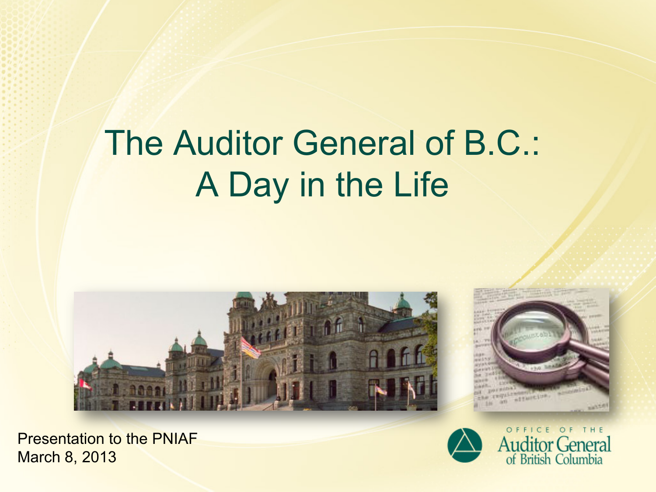# The Auditor General of B.C.: A Day in the Life





Presentation to the PNIAF March 8, 2013



OFFICE OF THE **Auditor General**<br>of British Columbia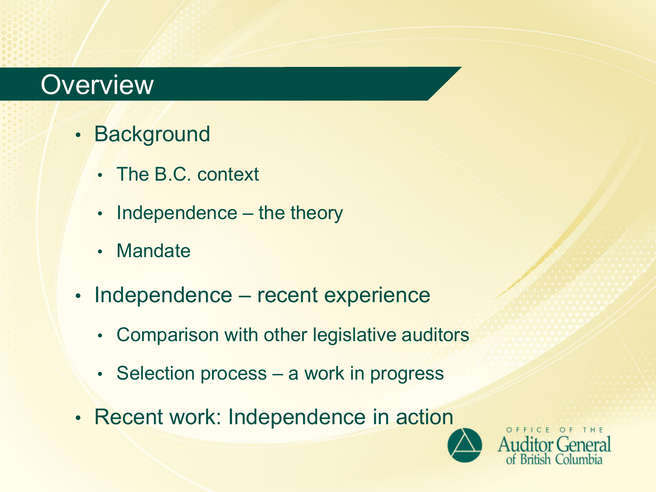### **Overview**

- Background
	- The B.C. context
	- Independence the theory
	- Mandate
- Independence recent experience
	- Comparison with other legislative auditors
	- Selection process a work in progress
- Recent work: Independence in action



OFFICE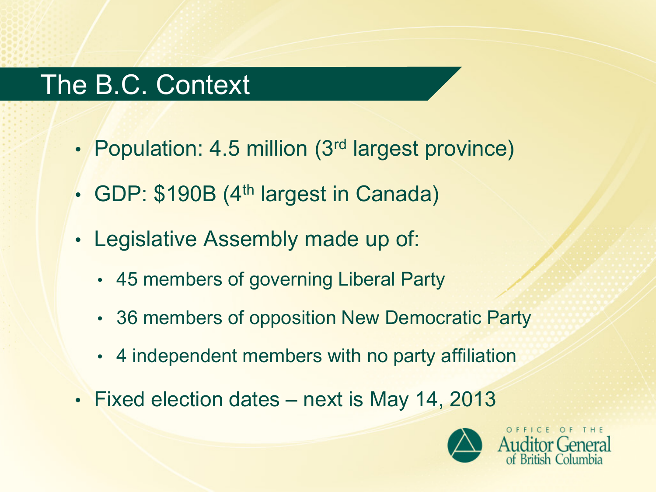### The B.C. Context

- Population: 4.5 million (3<sup>rd</sup> largest province)
- GDP: \$190B (4<sup>th</sup> largest in Canada)
- Legislative Assembly made up of:
	- 45 members of governing Liberal Party
	- 36 members of opposition New Democratic Party
	- 4 independent members with no party affiliation
- Fixed election dates next is May 14, 2013

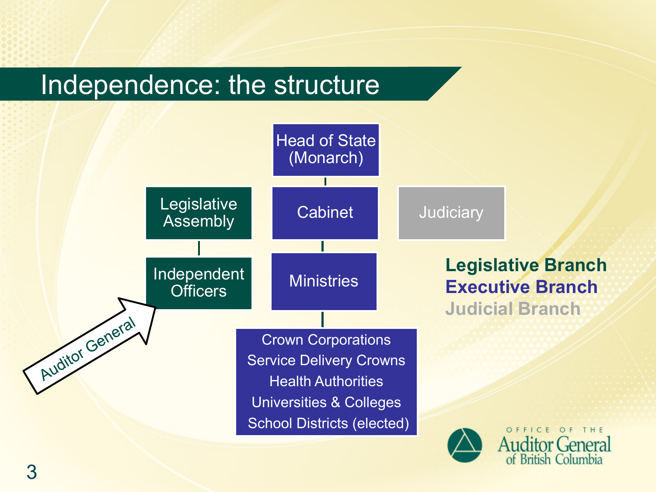### Independence: the structure

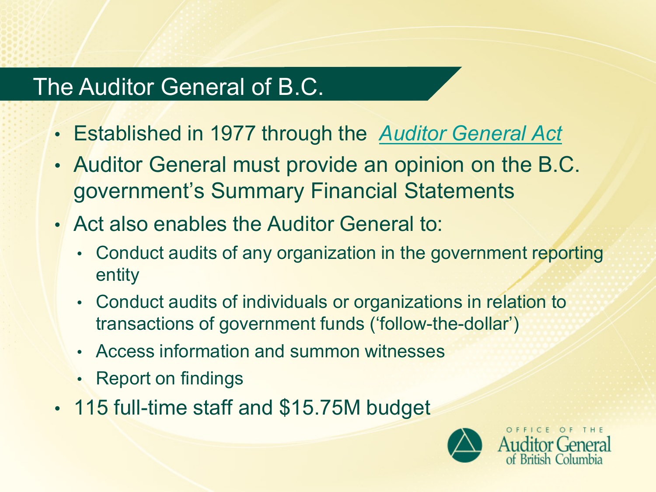### The Auditor General of B.C.

- Established in 1977 through the *[Auditor General Act](http://www.bclaws.ca/EPLibraries/bclaws_new/document/ID/freeside/00_03002_01)*
- Auditor General must provide an opinion on the B.C. government's Summary Financial Statements
- Act also enables the Auditor General to:
	- Conduct audits of any organization in the government reporting entity
	- Conduct audits of individuals or organizations in relation to transactions of government funds ('follow-the-dollar')
	- Access information and summon witnesses
	- Report on findings
- 115 full-time staff and \$15.75M budget

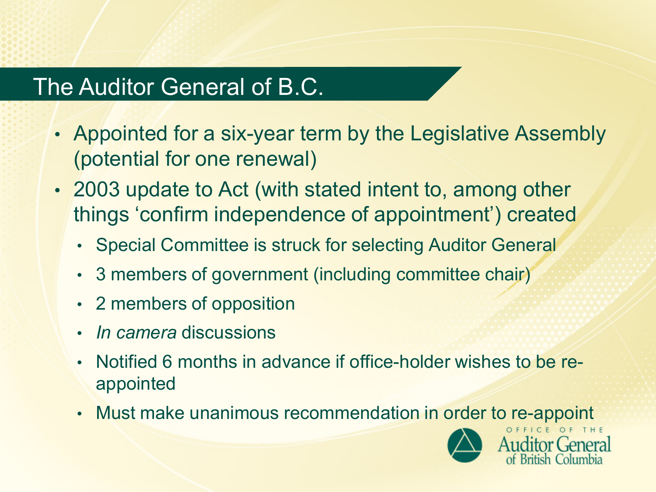### The Auditor General of B.C.

- Appointed for a six-year term by the Legislative Assembly (potential for one renewal)
- 2003 update to Act (with stated intent to, among other things 'confirm independence of appointment') created
	- Special Committee is struck for selecting Auditor General
	- 3 members of government (including committee chair)
	- 2 members of opposition
	- *In camera* discussions
	- Notified 6 months in advance if office-holder wishes to be reappointed
	- Must make unanimous recommendation in order to re-appoint

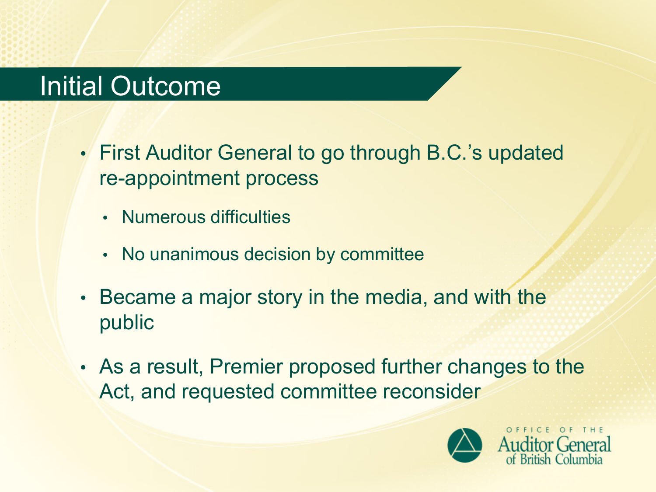### Initial Outcome

- First Auditor General to go through B.C.'s updated re-appointment process
	- Numerous difficulties
	- No unanimous decision by committee
- Became a major story in the media, and with the public
- As a result, Premier proposed further changes to the Act, and requested committee reconsider

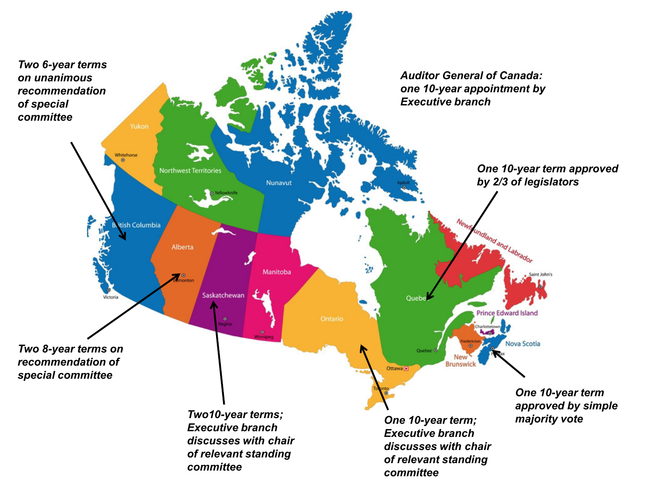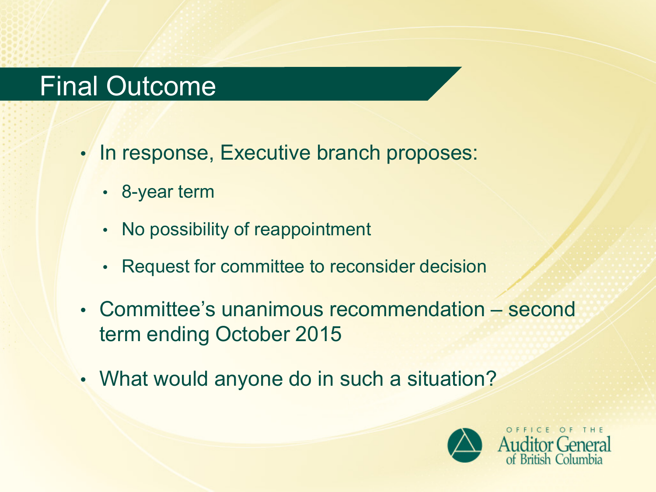### Final Outcome

- In response, Executive branch proposes:
	- 8-year term
	- No possibility of reappointment
	- Request for committee to reconsider decision
- Committee's unanimous recommendation second term ending October 2015
- What would anyone do in such a situation?

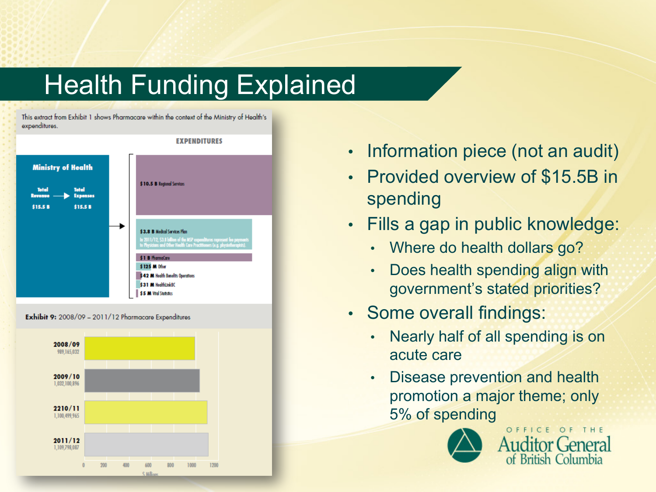# [Health Funding Expla](http://www.bcauditor.com/online/pubs/775/775)ined

This extract from Exhibit 1 shows Pharmacare within the context of the Ministry of Health's expenditures.



- Information piece (not an audit)
- Provided overview of \$15.5B in spending
- Fills a gap in public knowledge:
	- Where do health dollars go?
	- Does health spending align with government's stated priorities?
- Some overall findings:
	- Nearly half of all spending is on acute care
	- Disease prevention and health promotion a major theme; only 5% of spending



OFFICE OF THE Auditor General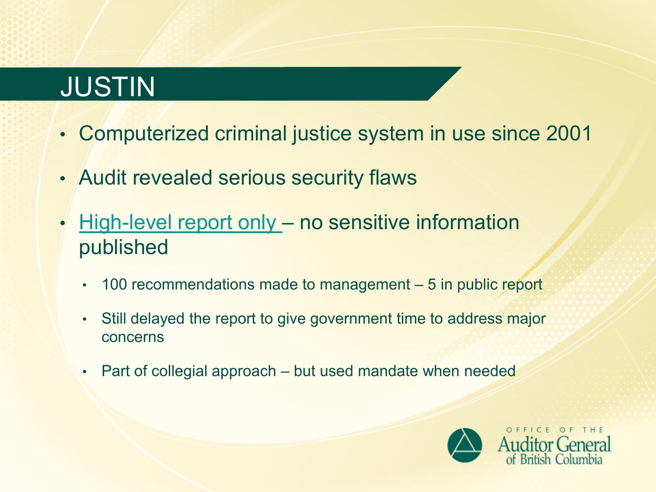# JUSTIN

- Computerized criminal justice system in use since 2001
- Audit revealed serious security flaws
- [High-level report only –](http://www.bcauditor.com/pubs/2013/report9/securing-justin-system-access-and-security-audit-ministry) no sensitive information published
	- 100 recommendations made to management 5 in public report
	- Still delayed the report to give government time to address major concerns
	- Part of collegial approach but used mandate when needed

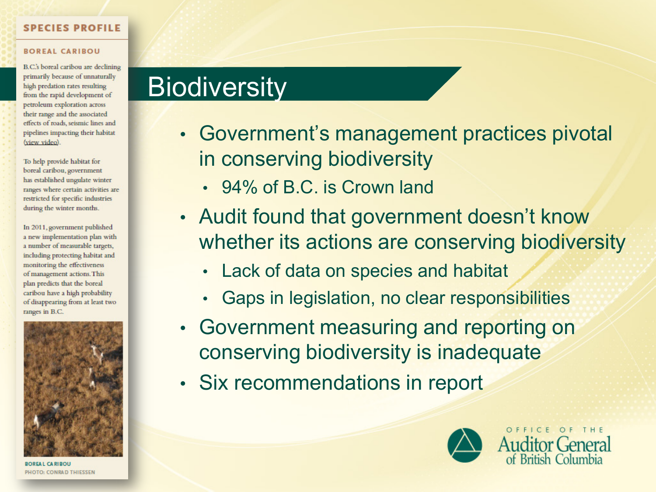#### **SPECIES PROFILE**

#### **BOREAL CARIBOU**

B.C.'s boreal caribou are declining primarily because of unnaturally high predation rates resulting from the rapid development of petroleum exploration across their range and the associated effects of roads, seismic lines and pipelines impacting their habitat (view video).

To help provide habitat for boreal caribou, government has established ungulate winter ranges where certain activities are restricted for specific industries during the winter months.

In 2011, government published a new implementation plan with a number of measurable targets, including protecting habitat and monitoring the effectiveness of management actions. This plan predicts that the boreal caribou have a high probability of disappearing from at least two ranges in B.C.



**BOREAL CARIBOU** PHOTO: CONRAD THIESSEN

### **Biodiversity**

- Government's management practices pivotal in conserving biodiversity
	- 94% of B.C. is Crown land
- Audit found that government doesn't know whether its actions are conserving biodiversity
	- Lack of data on species and habitat
	- Gaps in legislation, no clear responsibilities
- Government measuring and reporting on conserving biodiversity is inadequate
- Six recommendations in report



OFFICE OF THE **Auditor General**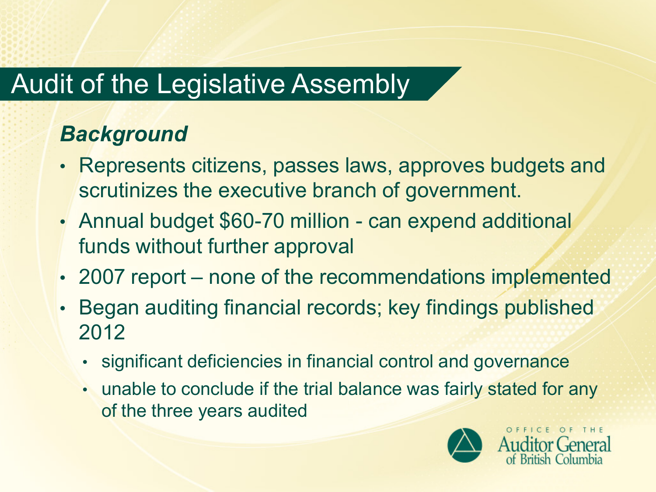# Audit of the Legislative Assembly

### *Background*

- Represents citizens, passes laws, approves budgets and scrutinizes the executive branch of government.
- Annual budget \$60-70 million can expend additional funds without further approval
- 2007 report none of the recommendations implemented
- Began auditing financial records; key findings published 2012
	- significant deficiencies in financial control and governance
	- unable to conclude if the trial balance was fairly stated for any of the three years audited

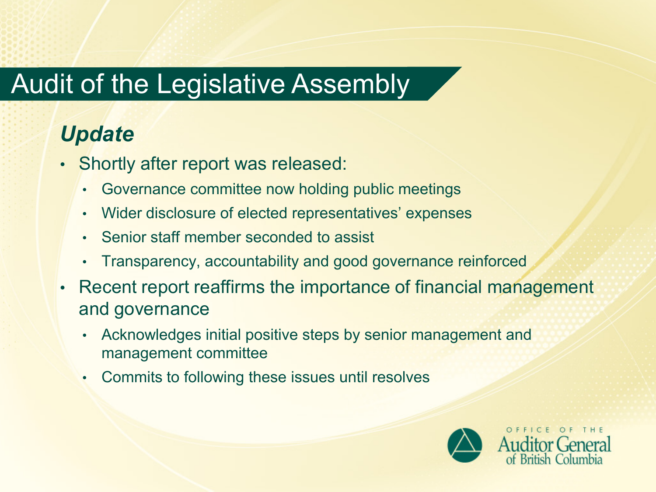# Audit of the Legislative Assembly

### *Update*

- Shortly after report was released:
	- Governance committee now holding public meetings
	- Wider disclosure of elected representatives' expenses
	- Senior staff member seconded to assist
	- Transparency, accountability and good governance reinforced
- Recent report reaffirms the importance of financial management and governance
	- Acknowledges initial positive steps by senior management and management committee
	- Commits to following these issues until resolves

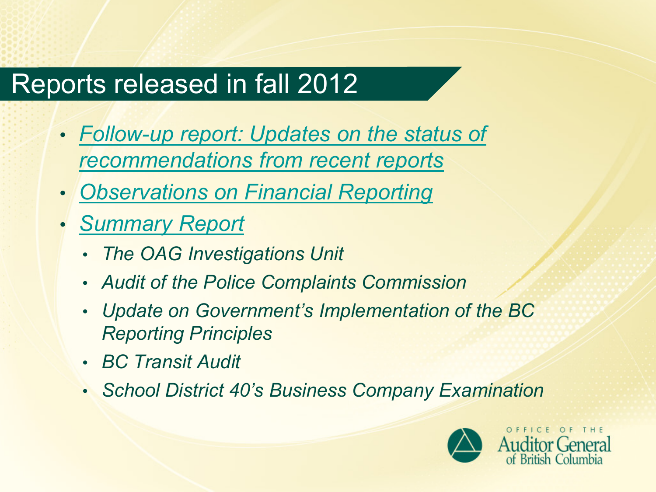# Reports released in fall 2012

- *[Follow-up report: Updates on the status of](http://www.bcauditor.com/pubs/2012/report6/follow-report-updates-implementation-recommendations-rece)  [recommendations from recent reports](http://www.bcauditor.com/pubs/2012/report6/follow-report-updates-implementation-recommendations-rece)*
- *[Observations on Financial Reporting](http://www.bcauditor.com/pubs/2012/report7/observations-financial-reporting-summary-financial-statem)*
- *[Summary Report](http://www.bcauditor.com/pubs/2012/report8/summary-report-results-completed-projects-and-other-matte)*
	- *The OAG Investigations Unit*
	- *Audit of the Police Complaints Commission*
	- *Update on Government's Implementation of the BC Reporting Principles*
	- *BC Transit Audit*
	- *School District 40's Business Company Examination*

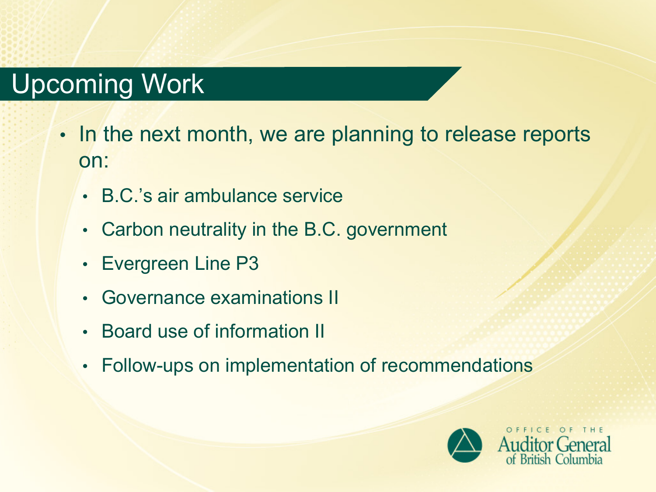# Upcoming Work

- In the next month, we are planning to release reports on:
	- B.C.'s air ambulance service
	- Carbon neutrality in the B.C. government
	- Evergreen Line P3
	- Governance examinations II
	- Board use of information II
	- Follow-ups on implementation of recommendations

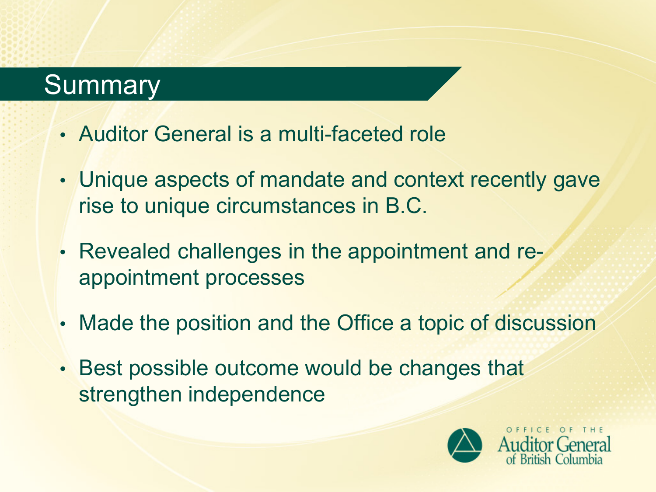### **Summary**

- Auditor General is a multi-faceted role
- Unique aspects of mandate and context recently gave rise to unique circumstances in B.C.
- Revealed challenges in the appointment and reappointment processes
- Made the position and the Office a topic of discussion
- Best possible outcome would be changes that strengthen independence